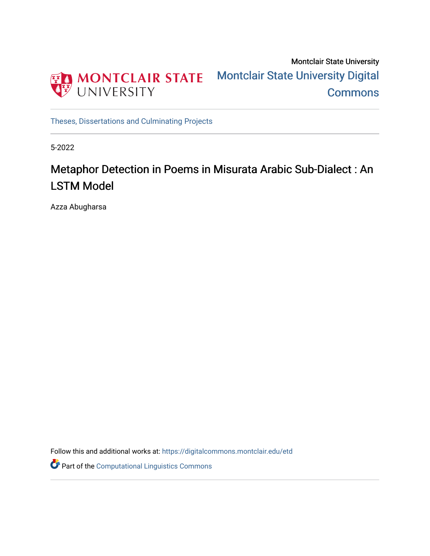

Montclair State University [Montclair State University Digital](https://digitalcommons.montclair.edu/)  **Commons** 

[Theses, Dissertations and Culminating Projects](https://digitalcommons.montclair.edu/etd) 

5-2022

# Metaphor Detection in Poems in Misurata Arabic Sub-Dialect : An LSTM Model

Azza Abugharsa

Follow this and additional works at: [https://digitalcommons.montclair.edu/etd](https://digitalcommons.montclair.edu/etd?utm_source=digitalcommons.montclair.edu%2Fetd%2F1080&utm_medium=PDF&utm_campaign=PDFCoverPages) 

Part of the [Computational Linguistics Commons](https://network.bepress.com/hgg/discipline/375?utm_source=digitalcommons.montclair.edu%2Fetd%2F1080&utm_medium=PDF&utm_campaign=PDFCoverPages)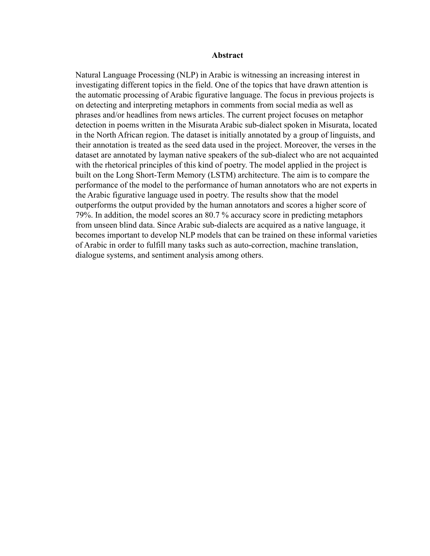#### **Abstract**

Natural Language Processing (NLP) in Arabic is witnessing an increasing interest in investigating different topics in the field. One of the topics that have drawn attention is the automatic processing of Arabic figurative language. The focus in previous projects is on detecting and interpreting metaphors in comments from social media as well as phrases and/or headlines from news articles. The current project focuses on metaphor detection in poems written in the Misurata Arabic sub-dialect spoken in Misurata, located in the North African region. The dataset is initially annotated by a group of linguists, and their annotation is treated as the seed data used in the project. Moreover, the verses in the dataset are annotated by layman native speakers of the sub-dialect who are not acquainted with the rhetorical principles of this kind of poetry. The model applied in the project is built on the Long Short-Term Memory (LSTM) architecture. The aim is to compare the performance of the model to the performance of human annotators who are not experts in the Arabic figurative language used in poetry. The results show that the model outperforms the output provided by the human annotators and scores a higher score of 79%. In addition, the model scores an 80.7 % accuracy score in predicting metaphors from unseen blind data. Since Arabic sub-dialects are acquired as a native language, it becomes important to develop NLP models that can be trained on these informal varieties of Arabic in order to fulfill many tasks such as auto-correction, machine translation, dialogue systems, and sentiment analysis among others.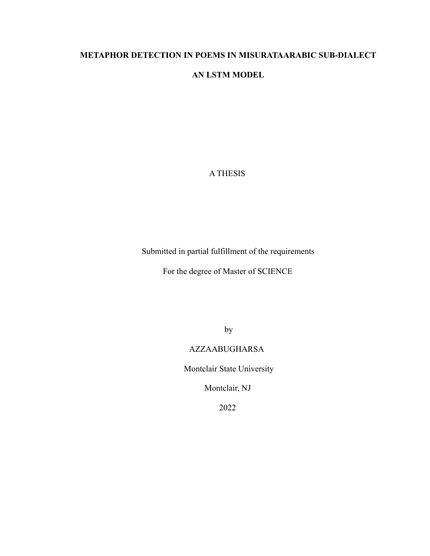# **METAPHOR DETECTION IN POEMS IN MISURATAARABIC SUB-DIALECT**

# **AN LSTM MODEL**

# A THESIS

Submitted in partial fulfillment of the requirements

For the degree of Master of SCIENCE

by

# AZZAABUGHARSA

Montclair State University

Montclair, NJ

2022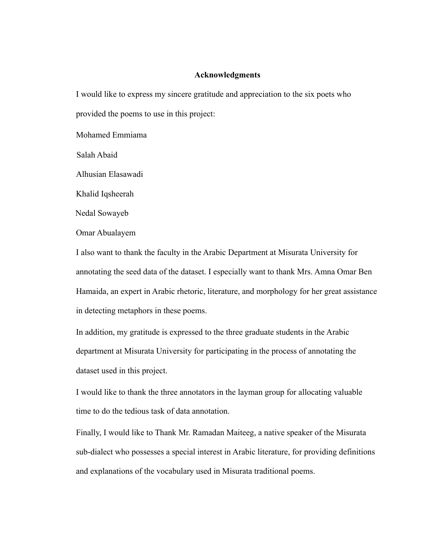### **Acknowledgments**

I would like to express my sincere gratitude and appreciation to the six poets who provided the poems to use in this project:

Mohamed Emmiama

Salah Abaid

Alhusian Elasawadi

Khalid Iqsheerah

Nedal Sowayeb

Omar Abualayem

I also want to thank the faculty in the Arabic Department at Misurata University for annotating the seed data of the dataset. I especially want to thank Mrs. Amna Omar Ben Hamaida, an expert in Arabic rhetoric, literature, and morphology for her great assistance in detecting metaphors in these poems.

In addition, my gratitude is expressed to the three graduate students in the Arabic department at Misurata University for participating in the process of annotating the dataset used in this project.

I would like to thank the three annotators in the layman group for allocating valuable time to do the tedious task of data annotation.

Finally, I would like to Thank Mr. Ramadan Maiteeg, a native speaker of the Misurata sub-dialect who possesses a special interest in Arabic literature, for providing definitions and explanations of the vocabulary used in Misurata traditional poems.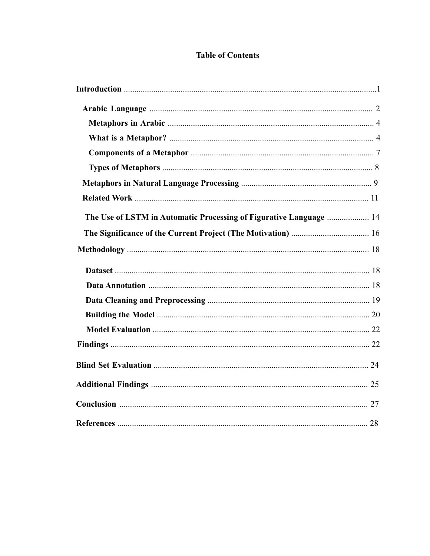# **Table of Contents**

| The Use of LSTM in Automatic Processing of Figurative Language  14 |  |
|--------------------------------------------------------------------|--|
|                                                                    |  |
|                                                                    |  |
|                                                                    |  |
|                                                                    |  |
|                                                                    |  |
|                                                                    |  |
|                                                                    |  |
|                                                                    |  |
|                                                                    |  |
|                                                                    |  |
|                                                                    |  |
|                                                                    |  |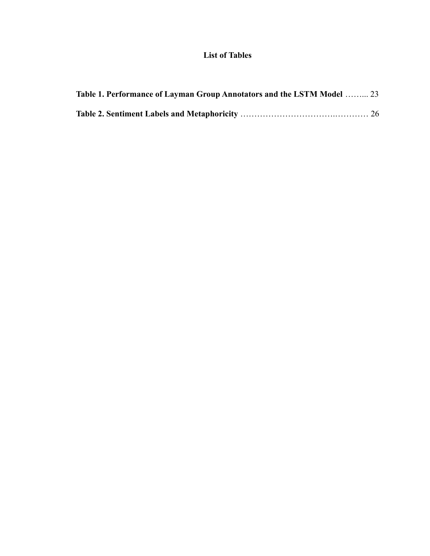# **List of Tables**

| Table 1. Performance of Layman Group Annotators and the LSTM Model  23 |  |
|------------------------------------------------------------------------|--|
|                                                                        |  |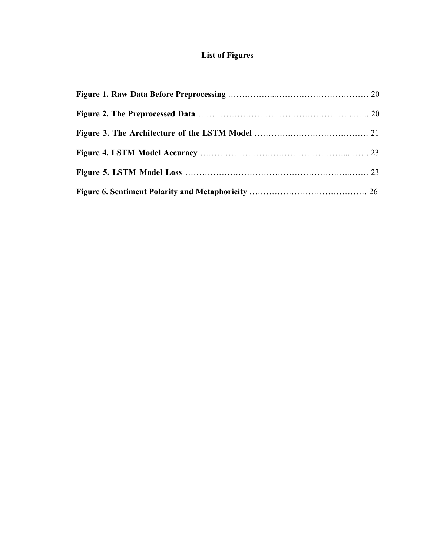# **List of Figures**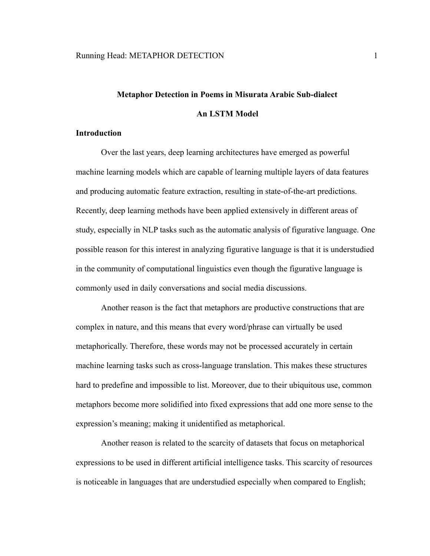# **Metaphor Detection in Poems in Misurata Arabic Sub-dialect An LSTM Model**

#### **Introduction**

Over the last years, deep learning architectures have emerged as powerful machine learning models which are capable of learning multiple layers of data features and producing automatic feature extraction, resulting in state-of-the-art predictions. Recently, deep learning methods have been applied extensively in different areas of study, especially in NLP tasks such as the automatic analysis of figurative language. One possible reason for this interest in analyzing figurative language is that it is understudied in the community of computational linguistics even though the figurative language is commonly used in daily conversations and social media discussions.

Another reason is the fact that metaphors are productive constructions that are complex in nature, and this means that every word/phrase can virtually be used metaphorically. Therefore, these words may not be processed accurately in certain machine learning tasks such as cross-language translation. This makes these structures hard to predefine and impossible to list. Moreover, due to their ubiquitous use, common metaphors become more solidified into fixed expressions that add one more sense to the expression's meaning; making it unidentified as metaphorical.

Another reason is related to the scarcity of datasets that focus on metaphorical expressions to be used in different artificial intelligence tasks. This scarcity of resources is noticeable in languages that are understudied especially when compared to English;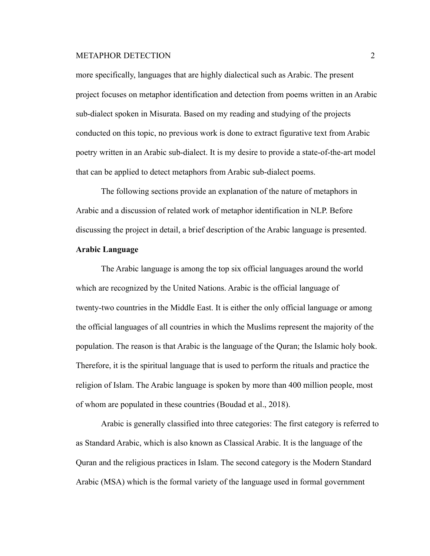more specifically, languages that are highly dialectical such as Arabic. The present project focuses on metaphor identification and detection from poems written in an Arabic sub-dialect spoken in Misurata. Based on my reading and studying of the projects conducted on this topic, no previous work is done to extract figurative text from Arabic poetry written in an Arabic sub-dialect. It is my desire to provide a state-of-the-art model that can be applied to detect metaphors from Arabic sub-dialect poems.

The following sections provide an explanation of the nature of metaphors in Arabic and a discussion of related work of metaphor identification in NLP. Before discussing the project in detail, a brief description of the Arabic language is presented.

# **Arabic Language**

The Arabic language is among the top six official languages around the world which are recognized by the United Nations. Arabic is the official language of twenty-two countries in the Middle East. It is either the only official language or among the official languages of all countries in which the Muslims represent the majority of the population. The reason is that Arabic is the language of the Quran; the Islamic holy book. Therefore, it is the spiritual language that is used to perform the rituals and practice the religion of Islam. The Arabic language is spoken by more than 400 million people, most of whom are populated in these countries (Boudad et al., 2018).

Arabic is generally classified into three categories: The first category is referred to as Standard Arabic, which is also known as Classical Arabic. It is the language of the Quran and the religious practices in Islam. The second category is the Modern Standard Arabic (MSA) which is the formal variety of the language used in formal government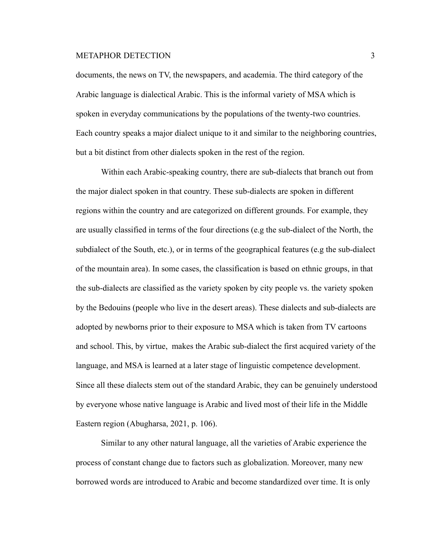documents, the news on TV, the newspapers, and academia. The third category of the Arabic language is dialectical Arabic. This is the informal variety of MSA which is spoken in everyday communications by the populations of the twenty-two countries. Each country speaks a major dialect unique to it and similar to the neighboring countries, but a bit distinct from other dialects spoken in the rest of the region.

Within each Arabic-speaking country, there are sub-dialects that branch out from the major dialect spoken in that country. These sub-dialects are spoken in different regions within the country and are categorized on different grounds. For example, they are usually classified in terms of the four directions (e.g the sub-dialect of the North, the subdialect of the South, etc.), or in terms of the geographical features (e.g the sub-dialect of the mountain area). In some cases, the classification is based on ethnic groups, in that the sub-dialects are classified as the variety spoken by city people vs. the variety spoken by the Bedouins (people who live in the desert areas). These dialects and sub-dialects are adopted by newborns prior to their exposure to MSA which is taken from TV cartoons and school. This, by virtue, makes the Arabic sub-dialect the first acquired variety of the language, and MSA is learned at a later stage of linguistic competence development. Since all these dialects stem out of the standard Arabic, they can be genuinely understood by everyone whose native language is Arabic and lived most of their life in the Middle Eastern region (Abugharsa, 2021, p. 106).

Similar to any other natural language, all the varieties of Arabic experience the process of constant change due to factors such as globalization. Moreover, many new borrowed words are introduced to Arabic and become standardized over time. It is only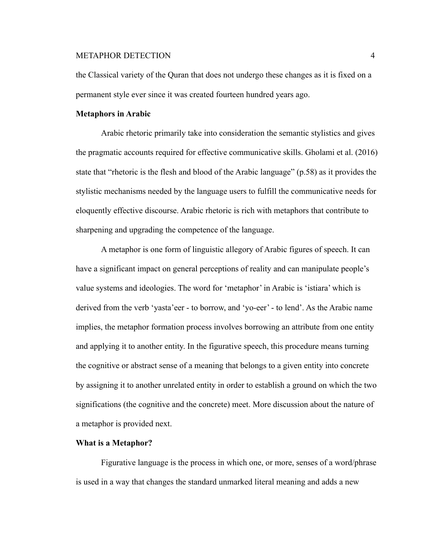the Classical variety of the Quran that does not undergo these changes as it is fixed on a permanent style ever since it was created fourteen hundred years ago.

### **Metaphors in Arabic**

Arabic rhetoric primarily take into consideration the semantic stylistics and gives the pragmatic accounts required for effective communicative skills. Gholami et al. (2016) state that "rhetoric is the flesh and blood of the Arabic language" (p.58) as it provides the stylistic mechanisms needed by the language users to fulfill the communicative needs for eloquently effective discourse. Arabic rhetoric is rich with metaphors that contribute to sharpening and upgrading the competence of the language.

A metaphor is one form of linguistic allegory of Arabic figures of speech. It can have a significant impact on general perceptions of reality and can manipulate people's value systems and ideologies. The word for 'metaphor' in Arabic is 'istiara' which is derived from the verb 'yasta'eer - to borrow, and 'yo-eer' - to lend'. As the Arabic name implies, the metaphor formation process involves borrowing an attribute from one entity and applying it to another entity. In the figurative speech, this procedure means turning the cognitive or abstract sense of a meaning that belongs to a given entity into concrete by assigning it to another unrelated entity in order to establish a ground on which the two significations (the cognitive and the concrete) meet. More discussion about the nature of a metaphor is provided next.

#### **What is a Metaphor?**

Figurative language is the process in which one, or more, senses of a word/phrase is used in a way that changes the standard unmarked literal meaning and adds a new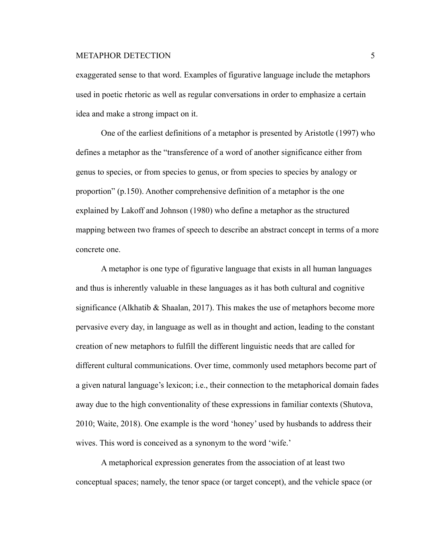exaggerated sense to that word. Examples of figurative language include the metaphors used in poetic rhetoric as well as regular conversations in order to emphasize a certain idea and make a strong impact on it.

One of the earliest definitions of a metaphor is presented by Aristotle (1997) who defines a metaphor as the "transference of a word of another significance either from genus to species, or from species to genus, or from species to species by analogy or proportion" (p.150). Another comprehensive definition of a metaphor is the one explained by Lakoff and Johnson (1980) who define a metaphor as the structured mapping between two frames of speech to describe an abstract concept in terms of a more concrete one.

A metaphor is one type of figurative language that exists in all human languages and thus is inherently valuable in these languages as it has both cultural and cognitive significance (Alkhatib  $\&$  Shaalan, 2017). This makes the use of metaphors become more pervasive every day, in language as well as in thought and action, leading to the constant creation of new metaphors to fulfill the different linguistic needs that are called for different cultural communications. Over time, commonly used metaphors become part of a given natural language's lexicon; i.e., their connection to the metaphorical domain fades away due to the high conventionality of these expressions in familiar contexts (Shutova, 2010; Waite, 2018). One example is the word 'honey' used by husbands to address their wives. This word is conceived as a synonym to the word 'wife.'

A metaphorical expression generates from the association of at least two conceptual spaces; namely, the tenor space (or target concept), and the vehicle space (or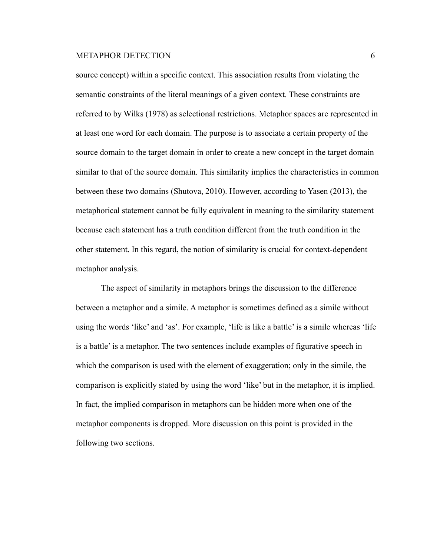source concept) within a specific context. This association results from violating the semantic constraints of the literal meanings of a given context. These constraints are referred to by Wilks (1978) as selectional restrictions. Metaphor spaces are represented in at least one word for each domain. The purpose is to associate a certain property of the source domain to the target domain in order to create a new concept in the target domain similar to that of the source domain. This similarity implies the characteristics in common between these two domains (Shutova, 2010). However, according to Yasen (2013), the metaphorical statement cannot be fully equivalent in meaning to the similarity statement because each statement has a truth condition different from the truth condition in the other statement. In this regard, the notion of similarity is crucial for context-dependent metaphor analysis.

The aspect of similarity in metaphors brings the discussion to the difference between a metaphor and a simile. A metaphor is sometimes defined as a simile without using the words 'like' and 'as'. For example, 'life is like a battle' is a simile whereas 'life is a battle' is a metaphor. The two sentences include examples of figurative speech in which the comparison is used with the element of exaggeration; only in the simile, the comparison is explicitly stated by using the word 'like' but in the metaphor, it is implied. In fact, the implied comparison in metaphors can be hidden more when one of the metaphor components is dropped. More discussion on this point is provided in the following two sections.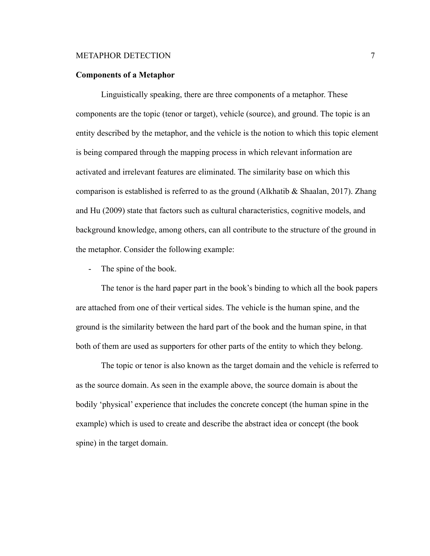#### **Components of a Metaphor**

Linguistically speaking, there are three components of a metaphor. These components are the topic (tenor or target), vehicle (source), and ground. The topic is an entity described by the metaphor, and the vehicle is the notion to which this topic element is being compared through the mapping process in which relevant information are activated and irrelevant features are eliminated. The similarity base on which this comparison is established is referred to as the ground (Alkhatib & Shaalan, 2017). Zhang and Hu (2009) state that factors such as cultural characteristics, cognitive models, and background knowledge, among others, can all contribute to the structure of the ground in the metaphor. Consider the following example:

- The spine of the book.

The tenor is the hard paper part in the book's binding to which all the book papers are attached from one of their vertical sides. The vehicle is the human spine, and the ground is the similarity between the hard part of the book and the human spine, in that both of them are used as supporters for other parts of the entity to which they belong.

The topic or tenor is also known as the target domain and the vehicle is referred to as the source domain. As seen in the example above, the source domain is about the bodily 'physical' experience that includes the concrete concept (the human spine in the example) which is used to create and describe the abstract idea or concept (the book spine) in the target domain.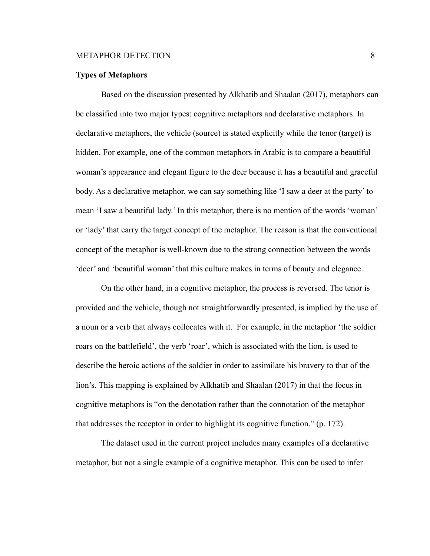#### **Types of Metaphors**

Based on the discussion presented by Alkhatib and Shaalan (2017), metaphors can be classified into two major types: cognitive metaphors and declarative metaphors. In declarative metaphors, the vehicle (source) is stated explicitly while the tenor (target) is hidden. For example, one of the common metaphors in Arabic is to compare a beautiful woman's appearance and elegant figure to the deer because it has a beautiful and graceful body. As a declarative metaphor, we can say something like 'I saw a deer at the party' to mean 'I saw a beautiful lady.' In this metaphor, there is no mention of the words 'woman' or 'lady' that carry the target concept of the metaphor. The reason is that the conventional concept of the metaphor is well-known due to the strong connection between the words 'deer' and 'beautiful woman' that this culture makes in terms of beauty and elegance.

On the other hand, in a cognitive metaphor, the process is reversed. The tenor is provided and the vehicle, though not straightforwardly presented, is implied by the use of a noun or a verb that always collocates with it. For example, in the metaphor 'the soldier roars on the battlefield', the verb 'roar', which is associated with the lion, is used to describe the heroic actions of the soldier in order to assimilate his bravery to that of the lion's. This mapping is explained by Alkhatib and Shaalan (2017) in that the focus in cognitive metaphors is "on the denotation rather than the connotation of the metaphor that addresses the receptor in order to highlight its cognitive function." (p. 172).

The dataset used in the current project includes many examples of a declarative metaphor, but not a single example of a cognitive metaphor. This can be used to infer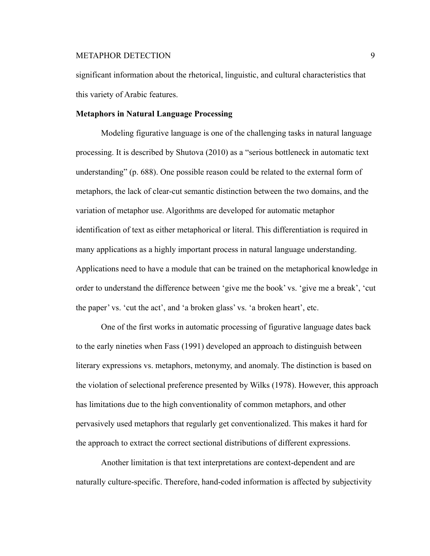significant information about the rhetorical, linguistic, and cultural characteristics that this variety of Arabic features.

#### **Metaphors in Natural Language Processing**

Modeling figurative language is one of the challenging tasks in natural language processing. It is described by Shutova (2010) as a "serious bottleneck in automatic text understanding" (p. 688). One possible reason could be related to the external form of metaphors, the lack of clear-cut semantic distinction between the two domains, and the variation of metaphor use. Algorithms are developed for automatic metaphor identification of text as either metaphorical or literal. This differentiation is required in many applications as a highly important process in natural language understanding. Applications need to have a module that can be trained on the metaphorical knowledge in order to understand the difference between 'give me the book' vs. 'give me a break', 'cut the paper' vs. 'cut the act', and 'a broken glass' vs. 'a broken heart', etc.

One of the first works in automatic processing of figurative language dates back to the early nineties when Fass (1991) developed an approach to distinguish between literary expressions vs. metaphors, metonymy, and anomaly. The distinction is based on the violation of selectional preference presented by Wilks (1978). However, this approach has limitations due to the high conventionality of common metaphors, and other pervasively used metaphors that regularly get conventionalized. This makes it hard for the approach to extract the correct sectional distributions of different expressions.

Another limitation is that text interpretations are context-dependent and are naturally culture-specific. Therefore, hand-coded information is affected by subjectivity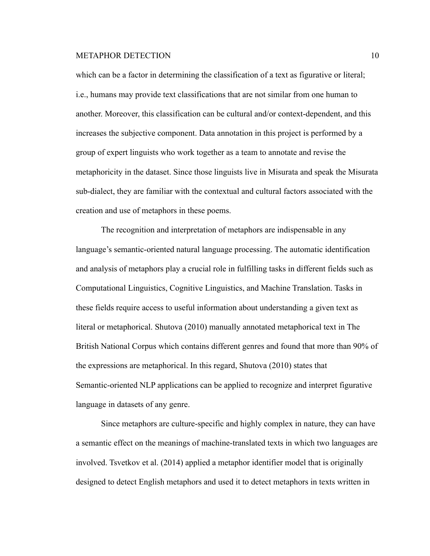which can be a factor in determining the classification of a text as figurative or literal; i.e., humans may provide text classifications that are not similar from one human to another. Moreover, this classification can be cultural and/or context-dependent, and this increases the subjective component. Data annotation in this project is performed by a group of expert linguists who work together as a team to annotate and revise the metaphoricity in the dataset. Since those linguists live in Misurata and speak the Misurata sub-dialect, they are familiar with the contextual and cultural factors associated with the creation and use of metaphors in these poems.

The recognition and interpretation of metaphors are indispensable in any language's semantic-oriented natural language processing. The automatic identification and analysis of metaphors play a crucial role in fulfilling tasks in different fields such as Computational Linguistics, Cognitive Linguistics, and Machine Translation. Tasks in these fields require access to useful information about understanding a given text as literal or metaphorical. Shutova (2010) manually annotated metaphorical text in The British National Corpus which contains different genres and found that more than 90% of the expressions are metaphorical. In this regard, Shutova (2010) states that Semantic-oriented NLP applications can be applied to recognize and interpret figurative language in datasets of any genre.

Since metaphors are culture-specific and highly complex in nature, they can have a semantic effect on the meanings of machine-translated texts in which two languages are involved. Tsvetkov et al. (2014) applied a metaphor identifier model that is originally designed to detect English metaphors and used it to detect metaphors in texts written in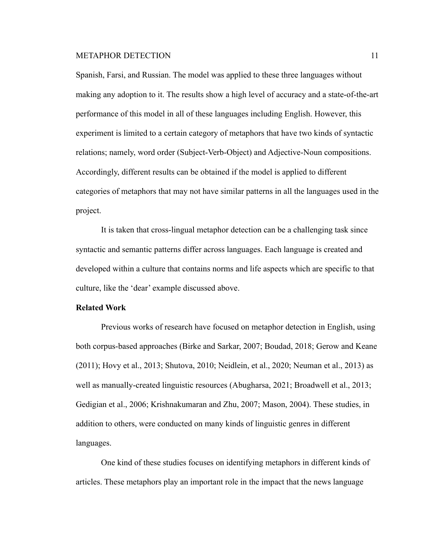Spanish, Farsi, and Russian. The model was applied to these three languages without making any adoption to it. The results show a high level of accuracy and a state-of-the-art performance of this model in all of these languages including English. However, this experiment is limited to a certain category of metaphors that have two kinds of syntactic relations; namely, word order (Subject-Verb-Object) and Adjective-Noun compositions. Accordingly, different results can be obtained if the model is applied to different categories of metaphors that may not have similar patterns in all the languages used in the project.

It is taken that cross-lingual metaphor detection can be a challenging task since syntactic and semantic patterns differ across languages. Each language is created and developed within a culture that contains norms and life aspects which are specific to that culture, like the 'dear' example discussed above.

### **Related Work**

Previous works of research have focused on metaphor detection in English, using both corpus-based approaches (Birke and Sarkar, 2007; Boudad, 2018; Gerow and Keane (2011); Hovy et al., 2013; Shutova, 2010; Neidlein, et al., 2020; Neuman et al., 2013) as well as manually-created linguistic resources (Abugharsa, 2021; Broadwell et al., 2013; Gedigian et al., 2006; Krishnakumaran and Zhu, 2007; Mason, 2004). These studies, in addition to others, were conducted on many kinds of linguistic genres in different languages.

One kind of these studies focuses on identifying metaphors in different kinds of articles. These metaphors play an important role in the impact that the news language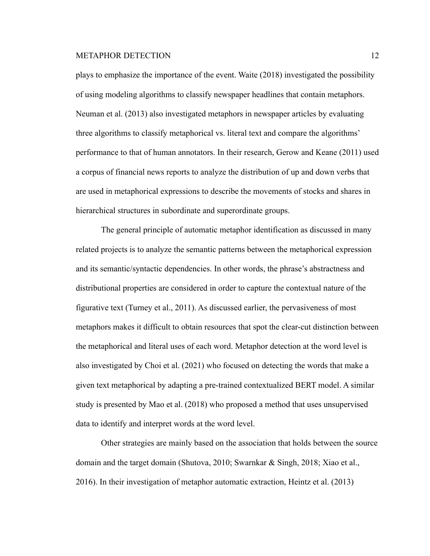plays to emphasize the importance of the event. Waite (2018) investigated the possibility of using modeling algorithms to classify newspaper headlines that contain metaphors. Neuman et al. (2013) also investigated metaphors in newspaper articles by evaluating three algorithms to classify metaphorical vs. literal text and compare the algorithms' performance to that of human annotators. In their research, Gerow and Keane (2011) used a corpus of financial news reports to analyze the distribution of up and down verbs that are used in metaphorical expressions to describe the movements of stocks and shares in hierarchical structures in subordinate and superordinate groups.

The general principle of automatic metaphor identification as discussed in many related projects is to analyze the semantic patterns between the metaphorical expression and its semantic/syntactic dependencies. In other words, the phrase's abstractness and distributional properties are considered in order to capture the contextual nature of the figurative text (Turney et al., 2011). As discussed earlier, the pervasiveness of most metaphors makes it difficult to obtain resources that spot the clear-cut distinction between the metaphorical and literal uses of each word. Metaphor detection at the word level is also investigated by Choi et al. (2021) who focused on detecting the words that make a given text metaphorical by adapting a pre-trained contextualized BERT model. A similar study is presented by Mao et al. (2018) who proposed a method that uses unsupervised data to identify and interpret words at the word level.

Other strategies are mainly based on the association that holds between the source domain and the target domain (Shutova, 2010; Swarnkar & Singh, 2018; Xiao et al., 2016). In their investigation of metaphor automatic extraction, Heintz et al. (2013)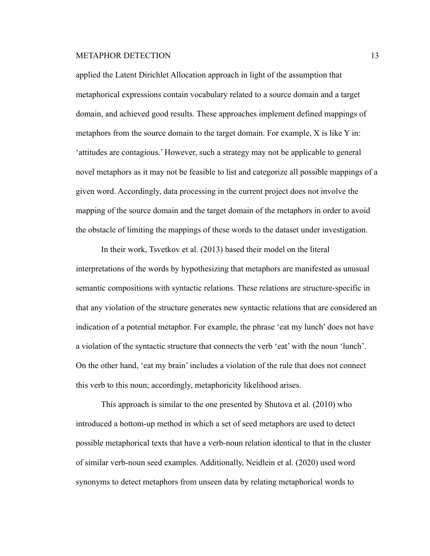applied the Latent Dirichlet Allocation approach in light of the assumption that metaphorical expressions contain vocabulary related to a source domain and a target domain, and achieved good results. These approaches implement defined mappings of metaphors from the source domain to the target domain. For example, X is like Y in: 'attitudes are contagious.' However, such a strategy may not be applicable to general novel metaphors as it may not be feasible to list and categorize all possible mappings of a given word. Accordingly, data processing in the current project does not involve the mapping of the source domain and the target domain of the metaphors in order to avoid the obstacle of limiting the mappings of these words to the dataset under investigation.

In their work, Tsvetkov et al. (2013) based their model on the literal interpretations of the words by hypothesizing that metaphors are manifested as unusual semantic compositions with syntactic relations. These relations are structure-specific in that any violation of the structure generates new syntactic relations that are considered an indication of a potential metaphor. For example, the phrase 'eat my lunch' does not have a violation of the syntactic structure that connects the verb 'eat' with the noun 'lunch'. On the other hand, 'eat my brain' includes a violation of the rule that does not connect this verb to this noun; accordingly, metaphoricity likelihood arises.

This approach is similar to the one presented by Shutova et al. (2010) who introduced a bottom-up method in which a set of seed metaphors are used to detect possible metaphorical texts that have a verb-noun relation identical to that in the cluster of similar verb-noun seed examples. Additionally, Neidlein et al. (2020) used word synonyms to detect metaphors from unseen data by relating metaphorical words to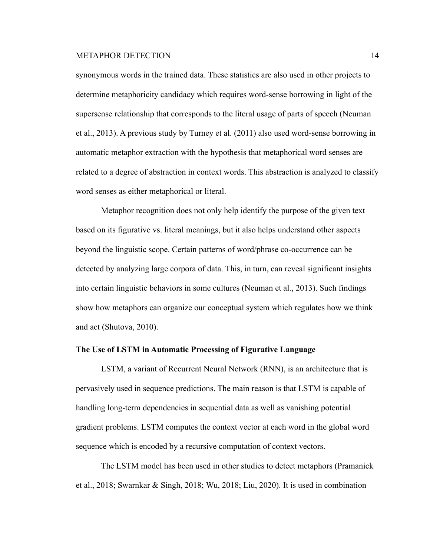synonymous words in the trained data. These statistics are also used in other projects to determine metaphoricity candidacy which requires word-sense borrowing in light of the supersense relationship that corresponds to the literal usage of parts of speech (Neuman et al., 2013). A previous study by Turney et al. (2011) also used word-sense borrowing in automatic metaphor extraction with the hypothesis that metaphorical word senses are related to a degree of abstraction in context words. This abstraction is analyzed to classify word senses as either metaphorical or literal.

Metaphor recognition does not only help identify the purpose of the given text based on its figurative vs. literal meanings, but it also helps understand other aspects beyond the linguistic scope. Certain patterns of word/phrase co-occurrence can be detected by analyzing large corpora of data. This, in turn, can reveal significant insights into certain linguistic behaviors in some cultures (Neuman et al., 2013). Such findings show how metaphors can organize our conceptual system which regulates how we think and act (Shutova, 2010).

### **The Use of LSTM in Automatic Processing of Figurative Language**

LSTM, a variant of Recurrent Neural Network (RNN), is an architecture that is pervasively used in sequence predictions. The main reason is that LSTM is capable of handling long-term dependencies in sequential data as well as vanishing potential gradient problems. LSTM computes the context vector at each word in the global word sequence which is encoded by a recursive computation of context vectors.

The LSTM model has been used in other studies to detect metaphors (Pramanick et al., 2018; Swarnkar & Singh, 2018; Wu, 2018; Liu, 2020). It is used in combination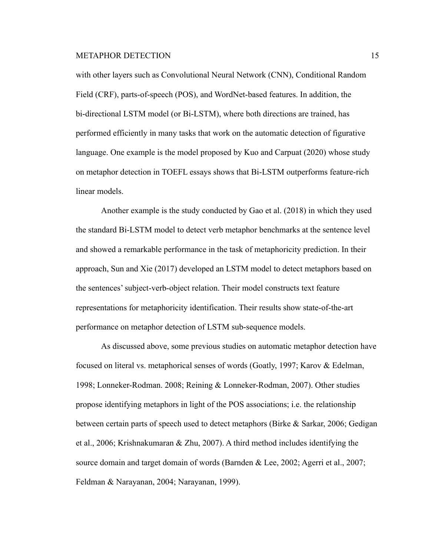with other layers such as Convolutional Neural Network (CNN), Conditional Random Field (CRF), parts-of-speech (POS), and WordNet-based features. In addition, the bi-directional LSTM model (or Bi-LSTM), where both directions are trained, has performed efficiently in many tasks that work on the automatic detection of figurative language. One example is the model proposed by Kuo and Carpuat (2020) whose study on metaphor detection in TOEFL essays shows that Bi-LSTM outperforms feature-rich linear models.

Another example is the study conducted by Gao et al. (2018) in which they used the standard Bi-LSTM model to detect verb metaphor benchmarks at the sentence level and showed a remarkable performance in the task of metaphoricity prediction. In their approach, Sun and Xie (2017) developed an LSTM model to detect metaphors based on the sentences' subject-verb-object relation. Their model constructs text feature representations for metaphoricity identification. Their results show state-of-the-art performance on metaphor detection of LSTM sub-sequence models.

As discussed above, some previous studies on automatic metaphor detection have focused on literal vs. metaphorical senses of words (Goatly, 1997; Karov & Edelman, 1998; Lonneker-Rodman. 2008; Reining & Lonneker-Rodman, 2007). Other studies propose identifying metaphors in light of the POS associations; i.e. the relationship between certain parts of speech used to detect metaphors (Birke & Sarkar, 2006; Gedigan et al., 2006; Krishnakumaran & Zhu, 2007). A third method includes identifying the source domain and target domain of words (Barnden & Lee, 2002; Agerri et al., 2007; Feldman & Narayanan, 2004; Narayanan, 1999).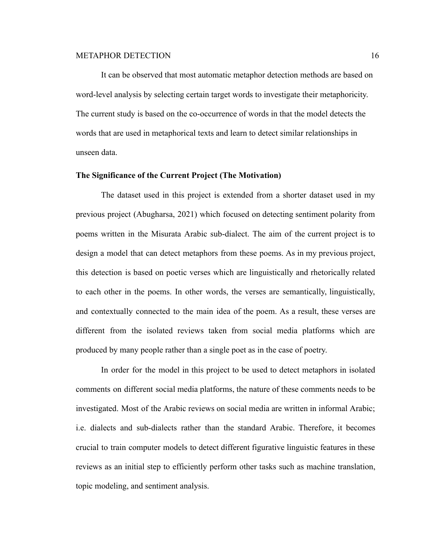It can be observed that most automatic metaphor detection methods are based on word-level analysis by selecting certain target words to investigate their metaphoricity. The current study is based on the co-occurrence of words in that the model detects the words that are used in metaphorical texts and learn to detect similar relationships in unseen data.

### **The Significance of the Current Project (The Motivation)**

The dataset used in this project is extended from a shorter dataset used in my previous project (Abugharsa, 2021) which focused on detecting sentiment polarity from poems written in the Misurata Arabic sub-dialect. The aim of the current project is to design a model that can detect metaphors from these poems. As in my previous project, this detection is based on poetic verses which are linguistically and rhetorically related to each other in the poems. In other words, the verses are semantically, linguistically, and contextually connected to the main idea of the poem. As a result, these verses are different from the isolated reviews taken from social media platforms which are produced by many people rather than a single poet as in the case of poetry.

In order for the model in this project to be used to detect metaphors in isolated comments on different social media platforms, the nature of these comments needs to be investigated. Most of the Arabic reviews on social media are written in informal Arabic; i.e. dialects and sub-dialects rather than the standard Arabic. Therefore, it becomes crucial to train computer models to detect different figurative linguistic features in these reviews as an initial step to efficiently perform other tasks such as machine translation, topic modeling, and sentiment analysis.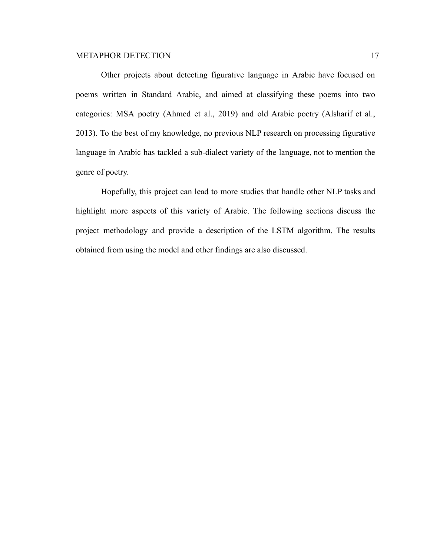Other projects about detecting figurative language in Arabic have focused on poems written in Standard Arabic, and aimed at classifying these poems into two categories: MSA poetry (Ahmed et al., 2019) and old Arabic poetry (Alsharif et al., 2013). To the best of my knowledge, no previous NLP research on processing figurative language in Arabic has tackled a sub-dialect variety of the language, not to mention the genre of poetry.

Hopefully, this project can lead to more studies that handle other NLP tasks and highlight more aspects of this variety of Arabic. The following sections discuss the project methodology and provide a description of the LSTM algorithm. The results obtained from using the model and other findings are also discussed.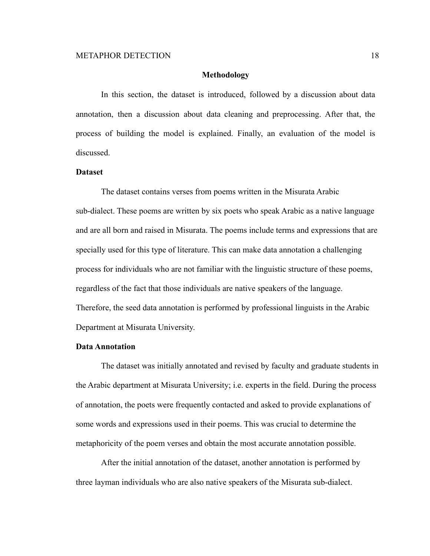#### **Methodology**

In this section, the dataset is introduced, followed by a discussion about data annotation, then a discussion about data cleaning and preprocessing. After that, the process of building the model is explained. Finally, an evaluation of the model is discussed.

### **Dataset**

The dataset contains verses from poems written in the Misurata Arabic sub-dialect. These poems are written by six poets who speak Arabic as a native language and are all born and raised in Misurata. The poems include terms and expressions that are specially used for this type of literature. This can make data annotation a challenging process for individuals who are not familiar with the linguistic structure of these poems, regardless of the fact that those individuals are native speakers of the language. Therefore, the seed data annotation is performed by professional linguists in the Arabic Department at Misurata University.

#### **Data Annotation**

The dataset was initially annotated and revised by faculty and graduate students in the Arabic department at Misurata University; i.e. experts in the field. During the process of annotation, the poets were frequently contacted and asked to provide explanations of some words and expressions used in their poems. This was crucial to determine the metaphoricity of the poem verses and obtain the most accurate annotation possible.

After the initial annotation of the dataset, another annotation is performed by three layman individuals who are also native speakers of the Misurata sub-dialect.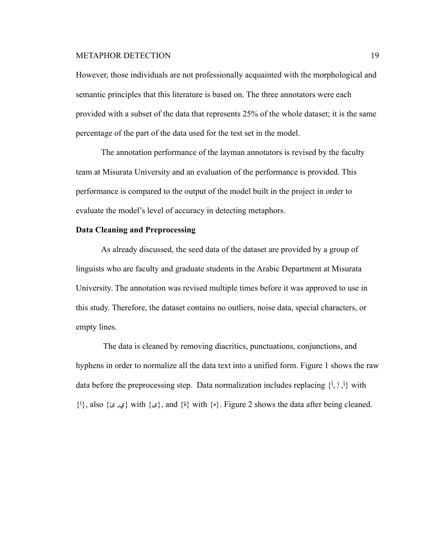However, those individuals are not professionally acquainted with the morphological and semantic principles that this literature is based on. The three annotators were each provided with a subset of the data that represents 25% of the whole dataset; it is the same percentage of the part of the data used for the test set in the model.

The annotation performance of the layman annotators is revised by the faculty team at Misurata University and an evaluation of the performance is provided. This performance is compared to the output of the model built in the project in order to evaluate the model's level of accuracy in detecting metaphors.

# **Data Cleaning and Preprocessing**

As already discussed, the seed data of the dataset are provided by a group of linguists who are faculty and graduate students in the Arabic Department at Misurata University. The annotation was revised multiple times before it was approved to use in this study. Therefore, the dataset contains no outliers, noise data, special characters, or empty lines.

The data is cleaned by removing diacritics, punctuations, conjunctions, and hyphens in order to normalize all the data text into a unified form. Figure 1 shows the raw data before the preprocessing step. Data normalization includes replacing  $\{\dot{a}, \dot{c}\}$  with  $\{1\}$ , also { $\epsilon$ ,  $\epsilon$ }, with { $\epsilon$ }, and { $\epsilon$ } with { $\epsilon$ }. Figure 2 shows the data after being cleaned.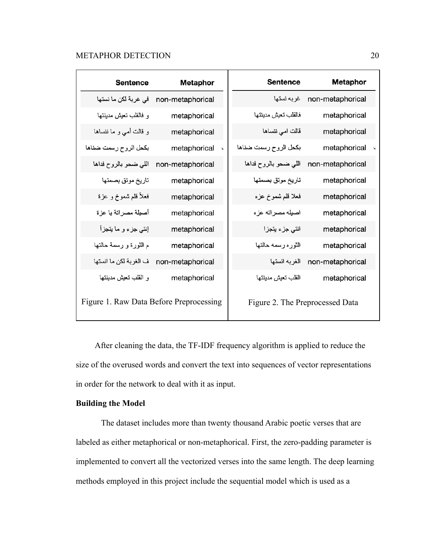| <b>Sentence</b>                         | <b>Metaphor</b>  | <b>Sentence</b>                 | <b>Metaphor</b>  |
|-----------------------------------------|------------------|---------------------------------|------------------|
| في غربة لكن ما نستها                    | non-metaphorical | غربه نستها                      | non-metaphorical |
| و فالقلب تعيش مدينتها                   | metaphorical     | فالقلب تعيش مدينتها             | metaphorical     |
| و قالت أمي و ما ننساها                  | metaphorical     | قالت امي ننساها                 | metaphorical     |
| بكحل الروح رسمت ضناها                   | metaphorical     | بكحل الروح رسمت ضناها<br>Ċ      | metaphorical     |
| اللي ضحو بالروح فداها                   | non-metaphorical | اللي ضحو بالروح فداها           | non-metaphorical |
| تاريخ موتق بصمتها                       | metaphorical     | تاريخ موتق بصمتها               | metaphorical     |
| فعلأ قلم شموخ و عزة                     | metaphorical     | فعلا قلم شموخ عزه               | metaphorical     |
| أصيلة مصراتة يا عزة                     | metaphorical     | اصيله مصراته عزه                | metaphorical     |
| إنتي جزء و ما يتجزأ                     | metaphorical     | انتي جزء يتجزا                  | metaphorical     |
| م الثورة و رسمة حالتها                  | metaphorical     | الثوره رسمه حالتها              | metaphorical     |
| ف الغربة لكن ما انستها                  | non-metaphorical | الغربه انستها                   | non-metaphorical |
| و القلب تعيش مدينتها                    | metaphorical     | القلب تعيش مدينتها              | metaphorical     |
| Figure 1. Raw Data Before Preprocessing |                  | Figure 2. The Preprocessed Data |                  |

After cleaning the data, the TF-IDF frequency algorithm is applied to reduce the size of the overused words and convert the text into sequences of vector representations in order for the network to deal with it as input.

# **Building the Model**

The dataset includes more than twenty thousand Arabic poetic verses that are labeled as either metaphorical or non-metaphorical. First, the zero-padding parameter is implemented to convert all the vectorized verses into the same length. The deep learning methods employed in this project include the sequential model which is used as a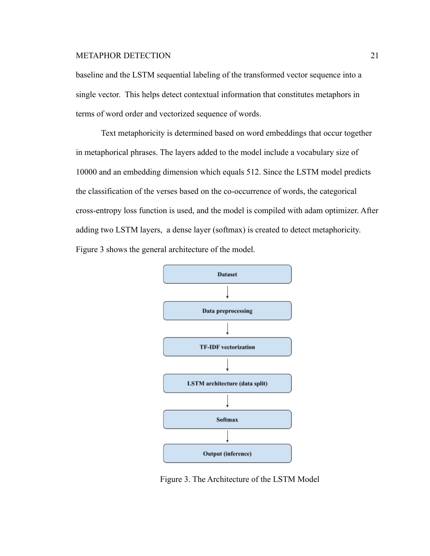baseline and the LSTM sequential labeling of the transformed vector sequence into a single vector. This helps detect contextual information that constitutes metaphors in terms of word order and vectorized sequence of words.

Text metaphoricity is determined based on word embeddings that occur together in metaphorical phrases. The layers added to the model include a vocabulary size of 10000 and an embedding dimension which equals 512. Since the LSTM model predicts the classification of the verses based on the co-occurrence of words, the categorical cross-entropy loss function is used, and the model is compiled with adam optimizer. After adding two LSTM layers, a dense layer (softmax) is created to detect metaphoricity. Figure 3 shows the general architecture of the model.



Figure 3. The Architecture of the LSTM Model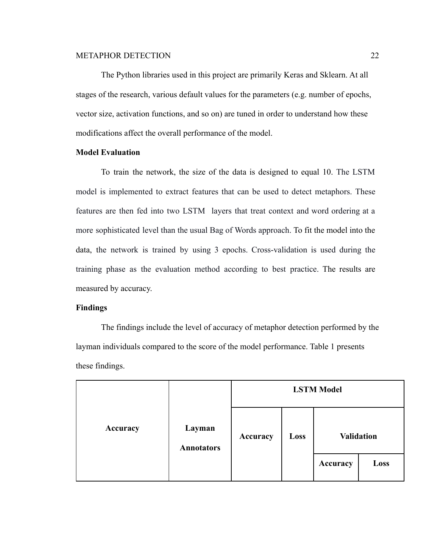The Python libraries used in this project are primarily Keras and Sklearn. At all stages of the research, various default values for the parameters (e.g. number of epochs, vector size, activation functions, and so on) are tuned in order to understand how these modifications affect the overall performance of the model.

#### **Model Evaluation**

To train the network, the size of the data is designed to equal 10. The LSTM model is implemented to extract features that can be used to detect metaphors. These features are then fed into two LSTM layers that treat context and word ordering at a more sophisticated level than the usual Bag of Words approach. To fit the model into the data, the network is trained by using 3 epochs. Cross-validation is used during the training phase as the evaluation method according to best practice. The results are measured by accuracy.

### **Findings**

The findings include the level of accuracy of metaphor detection performed by the layman individuals compared to the score of the model performance. Table 1 presents these findings.

|          |                             | <b>LSTM Model</b> |      |                   |      |
|----------|-----------------------------|-------------------|------|-------------------|------|
| Accuracy | Layman<br><b>Annotators</b> | Accuracy          | Loss | <b>Validation</b> |      |
|          |                             |                   |      | Accuracy          | Loss |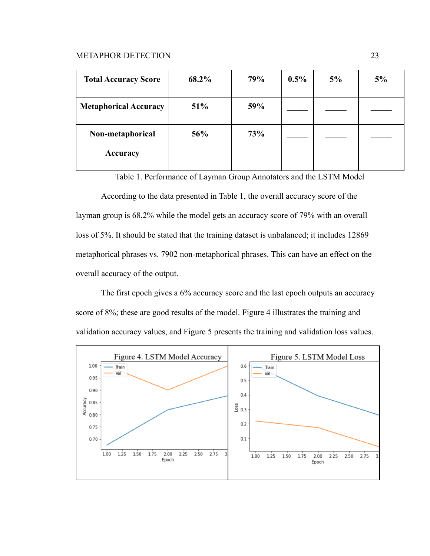| <b>Total Accuracy Score</b>  | 68.2% | 79% | $0.5\%$ | 5% | 5% |
|------------------------------|-------|-----|---------|----|----|
| <b>Metaphorical Accuracy</b> | 51%   | 59% |         |    |    |
| Non-metaphorical<br>Accuracy | 56%   | 73% |         |    |    |

Table 1. Performance of Layman Group Annotators and the LSTM Model

According to the data presented in Table 1, the overall accuracy score of the layman group is 68.2% while the model gets an accuracy score of 79% with an overall loss of 5%. It should be stated that the training dataset is unbalanced; it includes 12869 metaphorical phrases vs. 7902 non-metaphorical phrases. This can have an effect on the overall accuracy of the output.

The first epoch gives a 6% accuracy score and the last epoch outputs an accuracy score of 8%; these are good results of the model. Figure 4 illustrates the training and validation accuracy values, and Figure 5 presents the training and validation loss values.

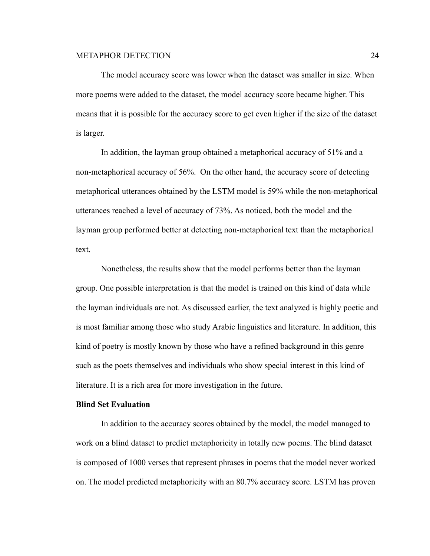The model accuracy score was lower when the dataset was smaller in size. When more poems were added to the dataset, the model accuracy score became higher. This means that it is possible for the accuracy score to get even higher if the size of the dataset is larger.

In addition, the layman group obtained a metaphorical accuracy of 51% and a non-metaphorical accuracy of 56%. On the other hand, the accuracy score of detecting metaphorical utterances obtained by the LSTM model is 59% while the non-metaphorical utterances reached a level of accuracy of 73%. As noticed, both the model and the layman group performed better at detecting non-metaphorical text than the metaphorical text.

Nonetheless, the results show that the model performs better than the layman group. One possible interpretation is that the model is trained on this kind of data while the layman individuals are not. As discussed earlier, the text analyzed is highly poetic and is most familiar among those who study Arabic linguistics and literature. In addition, this kind of poetry is mostly known by those who have a refined background in this genre such as the poets themselves and individuals who show special interest in this kind of literature. It is a rich area for more investigation in the future.

#### **Blind Set Evaluation**

In addition to the accuracy scores obtained by the model, the model managed to work on a blind dataset to predict metaphoricity in totally new poems. The blind dataset is composed of 1000 verses that represent phrases in poems that the model never worked on. The model predicted metaphoricity with an 80.7% accuracy score. LSTM has proven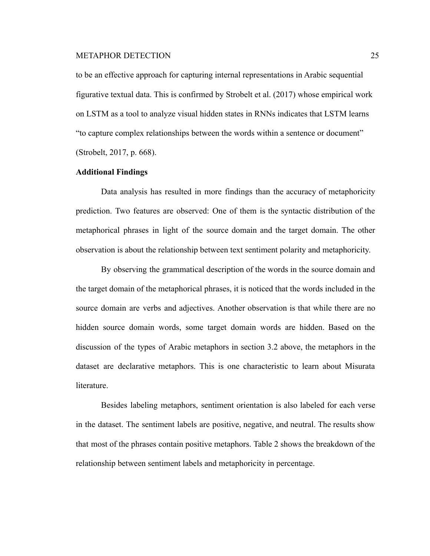to be an effective approach for capturing internal representations in Arabic sequential figurative textual data. This is confirmed by Strobelt et al. (2017) whose empirical work on LSTM as a tool to analyze visual hidden states in RNNs indicates that LSTM learns "to capture complex relationships between the words within a sentence or document" (Strobelt, 2017, p. 668).

#### **Additional Findings**

Data analysis has resulted in more findings than the accuracy of metaphoricity prediction. Two features are observed: One of them is the syntactic distribution of the metaphorical phrases in light of the source domain and the target domain. The other observation is about the relationship between text sentiment polarity and metaphoricity.

By observing the grammatical description of the words in the source domain and the target domain of the metaphorical phrases, it is noticed that the words included in the source domain are verbs and adjectives. Another observation is that while there are no hidden source domain words, some target domain words are hidden. Based on the discussion of the types of Arabic metaphors in section 3.2 above, the metaphors in the dataset are declarative metaphors. This is one characteristic to learn about Misurata literature.

Besides labeling metaphors, sentiment orientation is also labeled for each verse in the dataset. The sentiment labels are positive, negative, and neutral. The results show that most of the phrases contain positive metaphors. Table 2 shows the breakdown of the relationship between sentiment labels and metaphoricity in percentage.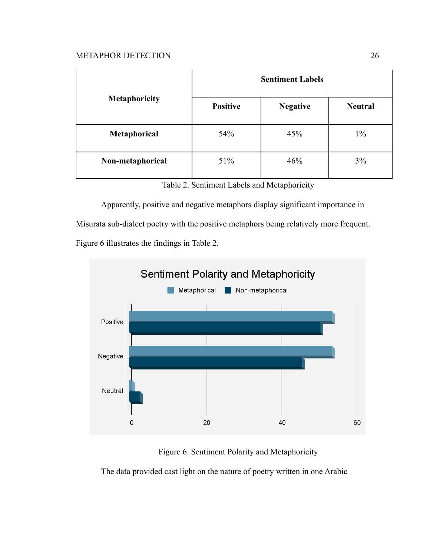|                      | <b>Sentiment Labels</b>            |     |                |  |  |
|----------------------|------------------------------------|-----|----------------|--|--|
| <b>Metaphoricity</b> | <b>Positive</b><br><b>Negative</b> |     | <b>Neutral</b> |  |  |
| Metaphorical         | 54%                                | 45% | $1\%$          |  |  |
| Non-metaphorical     | 51%                                | 46% | 3%             |  |  |

|  |  | Table 2. Sentiment Labels and Metaphoricity |  |  |  |  |  |
|--|--|---------------------------------------------|--|--|--|--|--|
|--|--|---------------------------------------------|--|--|--|--|--|

Apparently, positive and negative metaphors display significant importance in

Misurata sub-dialect poetry with the positive metaphors being relatively more frequent.

Figure 6 illustrates the findings in Table 2.



Figure 6. Sentiment Polarity and Metaphoricity

The data provided cast light on the nature of poetry written in one Arabic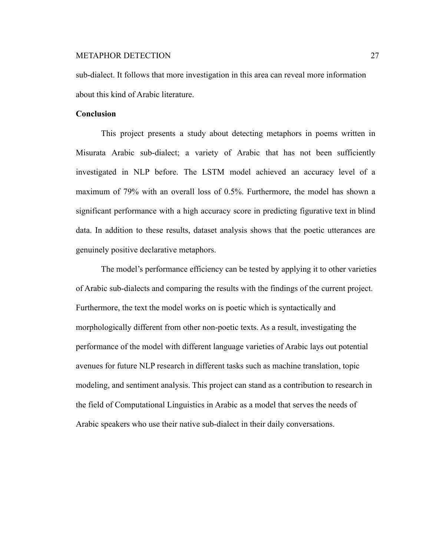sub-dialect. It follows that more investigation in this area can reveal more information about this kind of Arabic literature.

### **Conclusion**

This project presents a study about detecting metaphors in poems written in Misurata Arabic sub-dialect; a variety of Arabic that has not been sufficiently investigated in NLP before. The LSTM model achieved an accuracy level of a maximum of 79% with an overall loss of 0.5%. Furthermore, the model has shown a significant performance with a high accuracy score in predicting figurative text in blind data. In addition to these results, dataset analysis shows that the poetic utterances are genuinely positive declarative metaphors.

The model's performance efficiency can be tested by applying it to other varieties of Arabic sub-dialects and comparing the results with the findings of the current project. Furthermore, the text the model works on is poetic which is syntactically and morphologically different from other non-poetic texts. As a result, investigating the performance of the model with different language varieties of Arabic lays out potential avenues for future NLP research in different tasks such as machine translation, topic modeling, and sentiment analysis. This project can stand as a contribution to research in the field of Computational Linguistics in Arabic as a model that serves the needs of Arabic speakers who use their native sub-dialect in their daily conversations.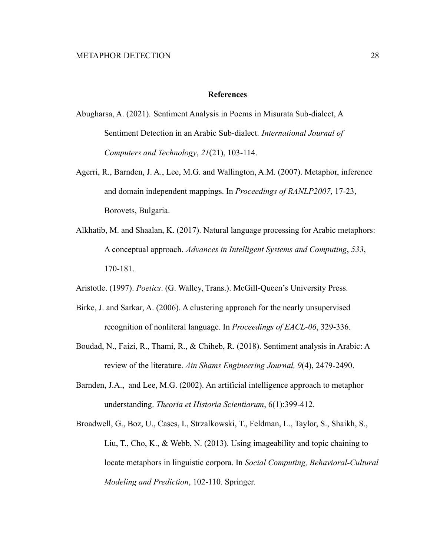#### **References**

- Abugharsa, A. (2021). Sentiment Analysis in Poems in Misurata Sub-dialect, A Sentiment Detection in an Arabic Sub-dialect. *International Journal of Computers and Technology*, *21*(21), 103-114.
- Agerri, R., Barnden, J. A., Lee, M.G. and Wallington, A.M. (2007). Metaphor, inference and domain independent mappings. In *Proceedings of RANLP2007*, 17-23, Borovets, Bulgaria.
- Alkhatib, M. and Shaalan, K. (2017). Natural language processing for Arabic metaphors: A conceptual approach. *Advances in Intelligent Systems and Computing*, *533*, 170-181.
- Aristotle. (1997). *Poetics*. (G. Walley, Trans.). McGill-Queen's University Press.
- Birke, J. and Sarkar, A. (2006). A clustering approach for the nearly unsupervised recognition of nonliteral language. In *Proceedings of EACL-06*, 329-336.
- Boudad, N., Faizi, R., Thami, R., & Chiheb, R. (2018). Sentiment analysis in Arabic: A review of the literature. *Ain Shams Engineering Journal, 9*(4), 2479-2490.
- Barnden, J.A., and Lee, M.G. (2002). An artificial intelligence approach to metaphor understanding. *Theoria et Historia Scientiarum*, 6(1):399-412.
- Broadwell, G., Boz, U., Cases, I., Strzalkowski, T., Feldman, L., Taylor, S., Shaikh, S., Liu, T., Cho, K., & Webb, N. (2013). Using imageability and topic chaining to locate metaphors in linguistic corpora. In *Social Computing, Behavioral-Cultural Modeling and Prediction*, 102-110. Springer.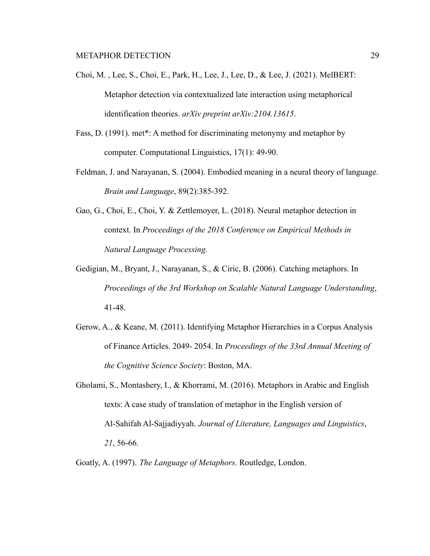- Choi, M. , Lee, S., Choi, E., Park, H., Lee, J., Lee, D., & Lee, J. (2021). MelBERT: Metaphor detection via contextualized late interaction using metaphorical identification theories. *arXiv preprint arXiv:2104.13615*.
- Fass, D. (1991). met\*: A method for discriminating metonymy and metaphor by computer. Computational Linguistics, 17(1): 49-90.
- Feldman, J. and Narayanan, S. (2004). Embodied meaning in a neural theory of language. *Brain and Language*, 89(2):385-392.
- Gao, G., Choi, E., Choi, Y. & Zettlemoyer, L. (2018). Neural metaphor detection in context. In *Proceedings of the 2018 Conference on Empirical Methods in Natural Language Processing.*
- Gedigian, M., Bryant, J., Narayanan, S., & Ciric, B. (2006). Catching metaphors. In *Proceedings of the 3rd Workshop on Scalable Natural Language Understanding*, 41-48.
- Gerow, A., & Keane, M. (2011). Identifying Metaphor Hierarchies in a Corpus Analysis of Finance Articles. 2049- 2054. In *Proceedings of the 33rd Annual Meeting of the Cognitive Science Society*: Boston, MA.
- Gholami, S., Montashery, I., & Khorrami, M. (2016). Metaphors in Arabic and English texts: A case study of translation of metaphor in the English version of Al-Sahifah Al-Sajjadiyyah. *Journal of Literature, Languages and Linguistics*, *21*, 56-66.
- Goatly, A. (1997). *The Language of Metaphors*. Routledge, London.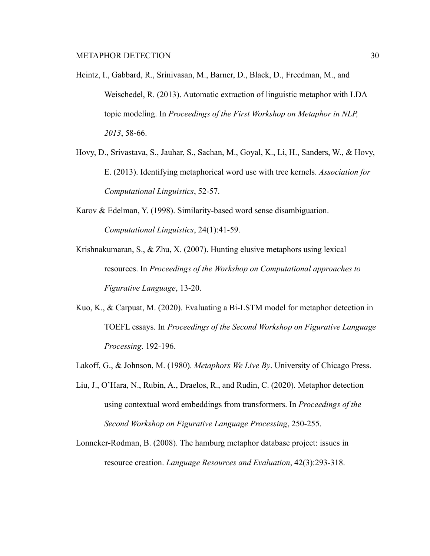- Heintz, I., Gabbard, R., Srinivasan, M., Barner, D., Black, D., Freedman, M., and Weischedel, R. (2013). Automatic extraction of linguistic metaphor with LDA topic modeling. In *Proceedings of the First Workshop on Metaphor in NLP, 2013*, 58-66.
- Hovy, D., Srivastava, S., Jauhar, S., Sachan, M., Goyal, K., Li, H., Sanders, W., & Hovy, E. (2013). Identifying metaphorical word use with tree kernels. *Association for Computational Linguistics*, 52-57.
- Karov & Edelman, Y. (1998). Similarity-based word sense disambiguation. *Computational Linguistics*, 24(1):41-59.
- Krishnakumaran, S., & Zhu, X. (2007). Hunting elusive metaphors using lexical resources. In *Proceedings of the Workshop on Computational approaches to Figurative Language*, 13-20.
- Kuo, K., & Carpuat, M. (2020). Evaluating a Bi-LSTM model for metaphor detection in TOEFL essays. In *Proceedings of the Second Workshop on Figurative Language Processing*. 192-196.
- Lakoff, G., & Johnson, M. (1980). *Metaphors We Live By*. University of Chicago Press.
- Liu, J., O'Hara, N., Rubin, A., Draelos, R., and Rudin, C. (2020). Metaphor detection using contextual word embeddings from transformers. In *Proceedings of the Second Workshop on Figurative Language Processing*, 250-255.
- Lonneker-Rodman, B. (2008). The hamburg metaphor database project: issues in resource creation. *Language Resources and Evaluation*, 42(3):293-318.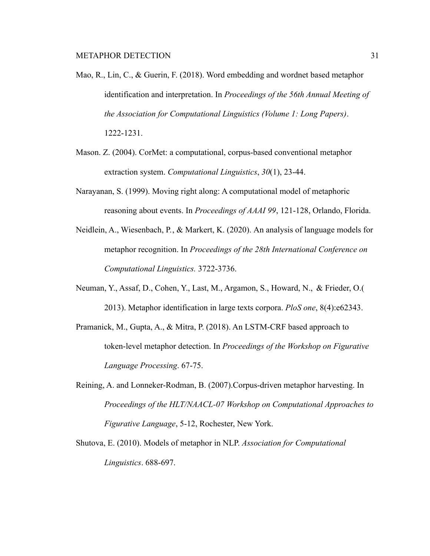- Mao, R., Lin, C., & Guerin, F. (2018). Word embedding and wordnet based metaphor identification and interpretation. In *Proceedings of the 56th Annual Meeting of the Association for Computational Linguistics (Volume 1: Long Papers)*. 1222-1231.
- Mason. Z. (2004). CorMet: a computational, corpus-based conventional metaphor extraction system. *Computational Linguistics*, *30*(1), 23-44.
- Narayanan, S. (1999). Moving right along: A computational model of metaphoric reasoning about events. In *Proceedings of AAAI 99*, 121-128, Orlando, Florida.
- Neidlein, A., Wiesenbach, P., & Markert, K. (2020). An analysis of language models for metaphor recognition. In *Proceedings of the 28th International Conference on Computational Linguistics.* 3722-3736.
- Neuman, Y., Assaf, D., Cohen, Y., Last, M., Argamon, S., Howard, N., & Frieder, O.( 2013). Metaphor identification in large texts corpora. *PloS one*, 8(4):e62343.
- Pramanick, M., Gupta, A., & Mitra, P. (2018). An LSTM-CRF based approach to token-level metaphor detection. In *Proceedings of the Workshop on Figurative Language Processing*. 67-75.
- Reining, A. and Lonneker-Rodman, B. (2007).Corpus-driven metaphor harvesting. In *Proceedings of the HLT/NAACL-07 Workshop on Computational Approaches to Figurative Language*, 5-12, Rochester, New York.
- Shutova, E. (2010). Models of metaphor in NLP. *Association for Computational Linguistics*. 688-697.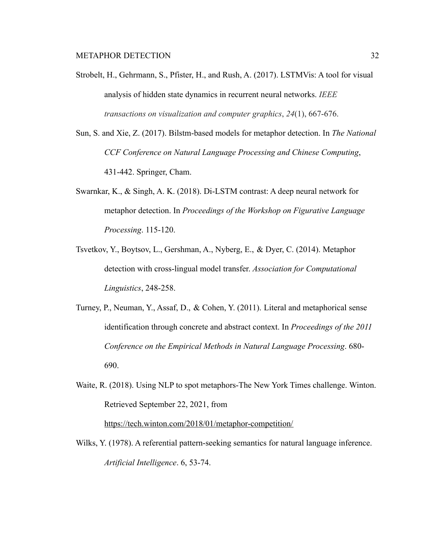- Strobelt, H., Gehrmann, S., Pfister, H., and Rush, A. (2017). LSTMVis: A tool for visual analysis of hidden state dynamics in recurrent neural networks. *IEEE transactions on visualization and computer graphics*, *24*(1), 667-676.
- Sun, S. and Xie, Z. (2017). Bilstm-based models for metaphor detection. In *The National CCF Conference on Natural Language Processing and Chinese Computing*, 431-442. Springer, Cham.
- Swarnkar, K., & Singh, A. K. (2018). Di-LSTM contrast: A deep neural network for metaphor detection. In *Proceedings of the Workshop on Figurative Language Processing*. 115-120.
- Tsvetkov, Y., Boytsov, L., Gershman, A., Nyberg, E., & Dyer, C. (2014). Metaphor detection with cross-lingual model transfer. *Association for Computational Linguistics*, 248-258.
- Turney, P., Neuman, Y., Assaf, D., & Cohen, Y. (2011). Literal and metaphorical sense identification through concrete and abstract context. In *Proceedings of the 2011 Conference on the Empirical Methods in Natural Language Processing*. 680- 690.
- Waite, R. (2018). Using NLP to spot metaphors-The New York Times challenge. Winton. Retrieved September 22, 2021, from <https://tech.winton.com/2018/01/metaphor-competition/>

Wilks, Y. (1978). A referential pattern-seeking semantics for natural language inference. *Artificial Intelligence*. 6, 53-74.